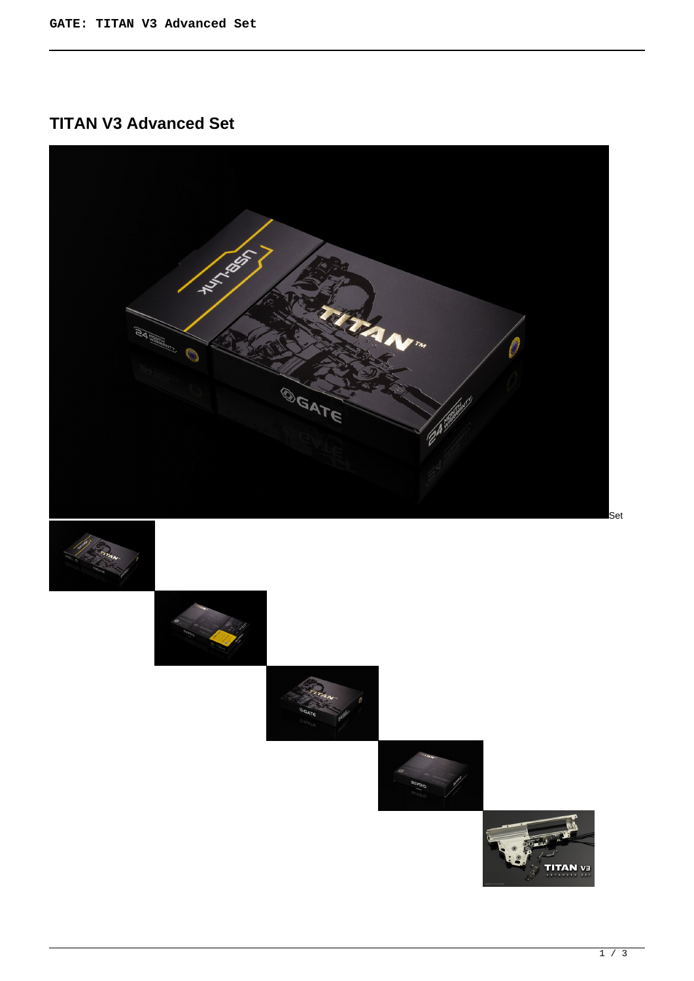**TITAN V3 Advanced Set**

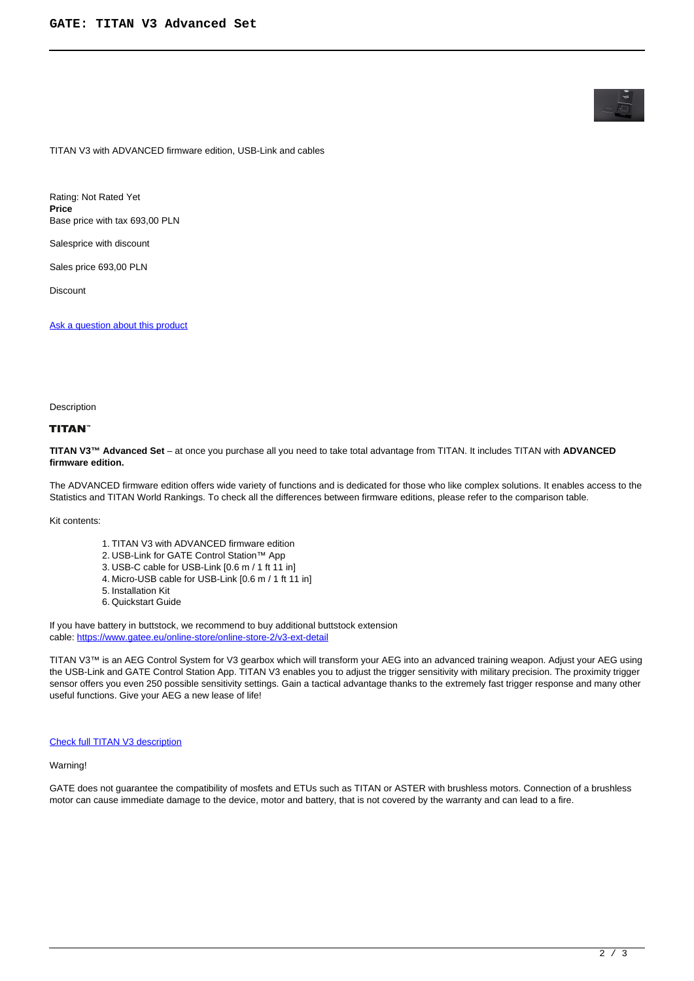TITAN V3 with ADVANCED firmware edition, USB-Link and cables

Rating: Not Rated Yet **Price**  Base price with tax 693,00 PLN

Salesprice with discount

Sales price 693,00 PLN

Discount

[Ask a question about this product](https://gatee.eu/index.php?option=com_virtuemart&view=productdetails&task=askquestion&virtuemart_product_id=37&virtuemart_category_id=1&tmpl=component)

#### **Description**

# **TITAN**

**TITAN V3™ Advanced Set** – at once you purchase all you need to take total advantage from TITAN. It includes TITAN with **ADVANCED firmware edition.**

The ADVANCED firmware edition offers wide variety of functions and is dedicated for those who like complex solutions. It enables access to the Statistics and TITAN World Rankings. To check all the differences between firmware editions, please refer to the comparison table.

Kit contents:

- 1. TITAN V3 with ADVANCED firmware edition
- 2. USB-Link for GATE Control Station™ App
- 3. USB-C cable for USB-Link [0.6 m / 1 ft 11 in]
- 4. Micro-USB cable for USB-Link [0.6 m / 1 ft 11 in]
- 5. Installation Kit
- 6. Quickstart Guide

If you have battery in buttstock, we recommend to buy additional buttstock extension cable: [https://www.gatee.eu/online-store/online-store-2/v3-ext-detail](online-store/online-store-2/v3-ext-detail)

TITAN V3™ is an AEG Control System for V3 gearbox which will transform your AEG into an advanced training weapon. Adjust your AEG using the USB-Link and GATE Control Station App. TITAN V3 enables you to adjust the trigger sensitivity with military precision. The proximity trigger sensor offers you even 250 possible sensitivity settings. Gain a tactical advantage thanks to the extremely fast trigger response and many other useful functions. Give your AEG a new lease of life!

### **[Check full TITAN V3 description](products/titan/titan-v3)**

## Warning!

GATE does not guarantee the compatibility of mosfets and ETUs such as TITAN or ASTER with brushless motors. Connection of a brushless motor can cause immediate damage to the device, motor and battery, that is not covered by the warranty and can lead to a fire.